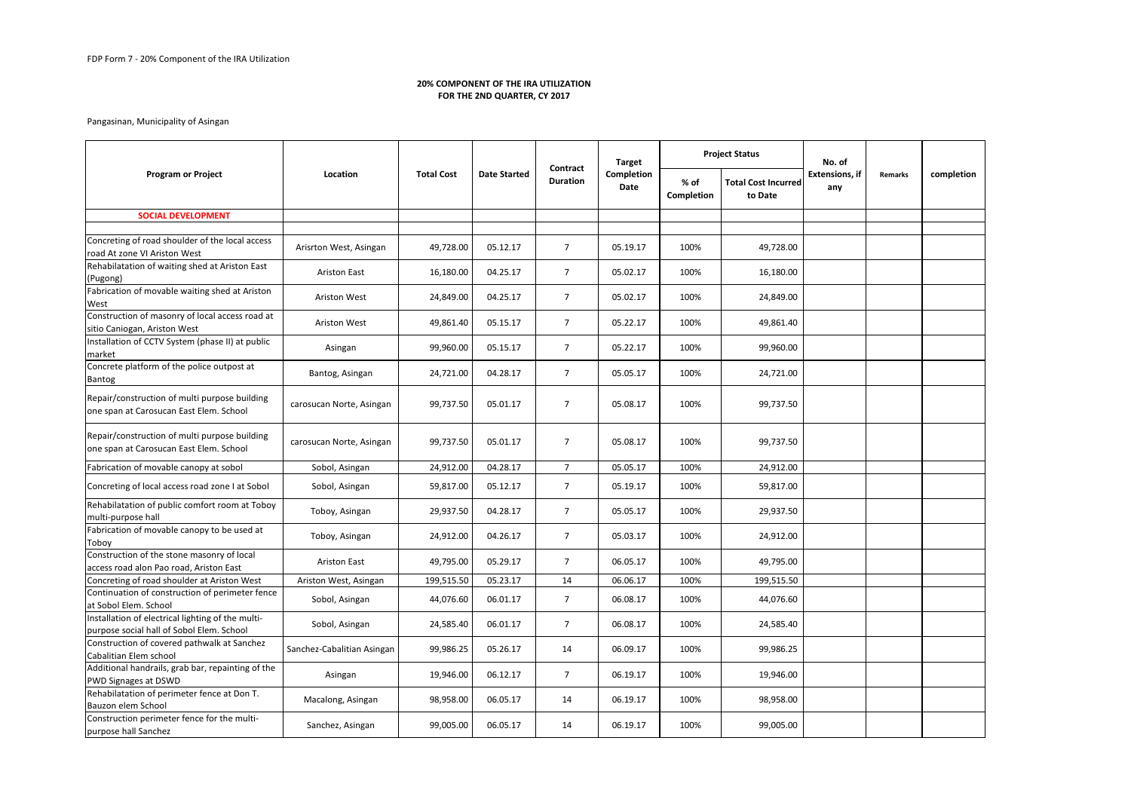## Pangasinan, Municipality of Asingan

| <b>Program or Project</b>                                                                      | Location                   | <b>Total Cost</b> | <b>Date Started</b> | Contract<br><b>Duration</b> | <b>Target</b><br>Completion<br>Date | <b>Project Status</b> |                                       | No. of                       |         |            |
|------------------------------------------------------------------------------------------------|----------------------------|-------------------|---------------------|-----------------------------|-------------------------------------|-----------------------|---------------------------------------|------------------------------|---------|------------|
|                                                                                                |                            |                   |                     |                             |                                     | % of<br>Completion    | <b>Total Cost Incurred</b><br>to Date | <b>Extensions, if</b><br>any | Remarks | completion |
| <b>SOCIAL DEVELOPMENT</b>                                                                      |                            |                   |                     |                             |                                     |                       |                                       |                              |         |            |
|                                                                                                |                            |                   |                     |                             |                                     |                       |                                       |                              |         |            |
| Concreting of road shoulder of the local access<br>road At zone VI Ariston West                | Arisrton West, Asingan     | 49,728.00         | 05.12.17            | $\overline{7}$              | 05.19.17                            | 100%                  | 49,728.00                             |                              |         |            |
| Rehabilatation of waiting shed at Ariston East<br>(Pugong)                                     | <b>Ariston East</b>        | 16,180.00         | 04.25.17            | $\overline{7}$              | 05.02.17                            | 100%                  | 16,180.00                             |                              |         |            |
| Fabrication of movable waiting shed at Ariston<br>West                                         | Ariston West               | 24,849.00         | 04.25.17            | 7 <sup>1</sup>              | 05.02.17                            | 100%                  | 24,849.00                             |                              |         |            |
| Construction of masonry of local access road at<br>sitio Caniogan, Ariston West                | <b>Ariston West</b>        | 49,861.40         | 05.15.17            | $\overline{7}$              | 05.22.17                            | 100%                  | 49,861.40                             |                              |         |            |
| Installation of CCTV System (phase II) at public<br>market                                     | Asingan                    | 99,960.00         | 05.15.17            | $\overline{7}$              | 05.22.17                            | 100%                  | 99,960.00                             |                              |         |            |
| Concrete platform of the police outpost at<br><b>Bantog</b>                                    | Bantog, Asingan            | 24,721.00         | 04.28.17            | 7                           | 05.05.17                            | 100%                  | 24,721.00                             |                              |         |            |
| Repair/construction of multi purpose building<br>one span at Carosucan East Elem. School       | carosucan Norte, Asingan   | 99,737.50         | 05.01.17            | $\overline{7}$              | 05.08.17                            | 100%                  | 99,737.50                             |                              |         |            |
| Repair/construction of multi purpose building<br>one span at Carosucan East Elem. School       | carosucan Norte, Asingan   | 99,737.50         | 05.01.17            | 7                           | 05.08.17                            | 100%                  | 99,737.50                             |                              |         |            |
| Fabrication of movable canopy at sobol                                                         | Sobol, Asingan             | 24,912.00         | 04.28.17            | $7^{\circ}$                 | 05.05.17                            | 100%                  | 24,912.00                             |                              |         |            |
| Concreting of local access road zone I at Sobol                                                | Sobol, Asingan             | 59,817.00         | 05.12.17            | $\overline{7}$              | 05.19.17                            | 100%                  | 59,817.00                             |                              |         |            |
| Rehabilatation of public comfort room at Toboy<br>multi-purpose hall                           | Toboy, Asingan             | 29,937.50         | 04.28.17            | $\overline{7}$              | 05.05.17                            | 100%                  | 29,937.50                             |                              |         |            |
| Fabrication of movable canopy to be used at<br>Toboy                                           | Toboy, Asingan             | 24,912.00         | 04.26.17            | $7^{\circ}$                 | 05.03.17                            | 100%                  | 24,912.00                             |                              |         |            |
| Construction of the stone masonry of local<br>access road alon Pao road, Ariston East          | <b>Ariston East</b>        | 49,795.00         | 05.29.17            | $\overline{7}$              | 06.05.17                            | 100%                  | 49,795.00                             |                              |         |            |
| Concreting of road shoulder at Ariston West                                                    | Ariston West, Asingan      | 199,515.50        | 05.23.17            | 14                          | 06.06.17                            | 100%                  | 199,515.50                            |                              |         |            |
| Continuation of construction of perimeter fence<br>at Sobol Elem. School                       | Sobol, Asingan             | 44,076.60         | 06.01.17            | 7 <sup>1</sup>              | 06.08.17                            | 100%                  | 44,076.60                             |                              |         |            |
| Installation of electrical lighting of the multi-<br>purpose social hall of Sobol Elem. School | Sobol, Asingan             | 24,585.40         | 06.01.17            | $7\overline{ }$             | 06.08.17                            | 100%                  | 24,585.40                             |                              |         |            |
| Construction of covered pathwalk at Sanchez<br>Cabalitian Elem school                          | Sanchez-Cabalitian Asingan | 99,986.25         | 05.26.17            | 14                          | 06.09.17                            | 100%                  | 99,986.25                             |                              |         |            |
| Additional handrails, grab bar, repainting of the<br>PWD Signages at DSWD                      | Asingan                    | 19,946.00         | 06.12.17            | 7 <sup>7</sup>              | 06.19.17                            | 100%                  | 19,946.00                             |                              |         |            |
| Rehabilatation of perimeter fence at Don T.<br>Bauzon elem School                              | Macalong, Asingan          | 98,958.00         | 06.05.17            | 14                          | 06.19.17                            | 100%                  | 98,958.00                             |                              |         |            |
| Construction perimeter fence for the multi-<br>purpose hall Sanchez                            | Sanchez, Asingan           | 99,005.00         | 06.05.17            | 14                          | 06.19.17                            | 100%                  | 99,005.00                             |                              |         |            |

## **20% COMPONENT OF THE IRA UTILIZATION FOR THE 2ND QUARTER, CY 2017**